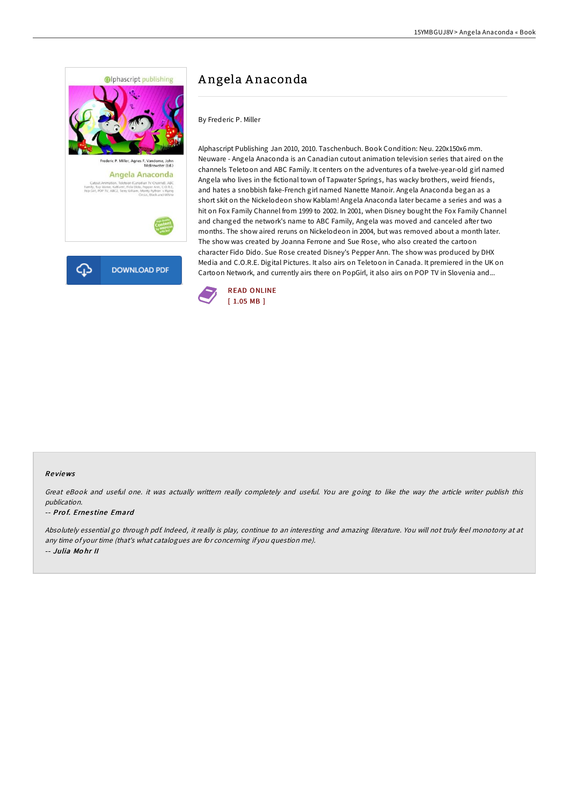

# A ngela A naconda

By Frederic P. Miller

Alphascript Publishing Jan 2010, 2010. Taschenbuch. Book Condition: Neu. 220x150x6 mm. Neuware - Angela Anaconda is an Canadian cutout animation television series that aired on the channels Teletoon and ABC Family. It centers on the adventures of a twelve-year-old girl named Angela who lives in the fictional town of Tapwater Springs, has wacky brothers, weird friends, and hates a snobbish fake-French girl named Nanette Manoir. Angela Anaconda began as a short skit on the Nickelodeon show Kablam! Angela Anaconda later became a series and was a hit on Fox Family Channel from 1999 to 2002. In 2001, when Disney bought the Fox Family Channel and changed the network's name to ABC Family, Angela was moved and canceled after two months. The show aired reruns on Nickelodeon in 2004, but was removed about a month later. The show was created by Joanna Ferrone and Sue Rose, who also created the cartoon character Fido Dido. Sue Rose created Disney's Pepper Ann. The show was produced by DHX Media and C.O.R.E. Digital Pictures. It also airs on Teletoon in Canada. It premiered in the UK on Cartoon Network, and currently airs there on PopGirl, it also airs on POP TV in Slovenia and...



### Re views

Great eBook and useful one. it was actually writtern really completely and useful. You are going to like the way the article writer publish this publication.

### -- Prof. Ernestine Emard

Absolutely essential go through pdf. Indeed, it really is play, continue to an interesting and amazing literature. You will not truly feel monotony at at any time of your time (that's what catalogues are for concerning if you question me). -- Julia Mo hr II